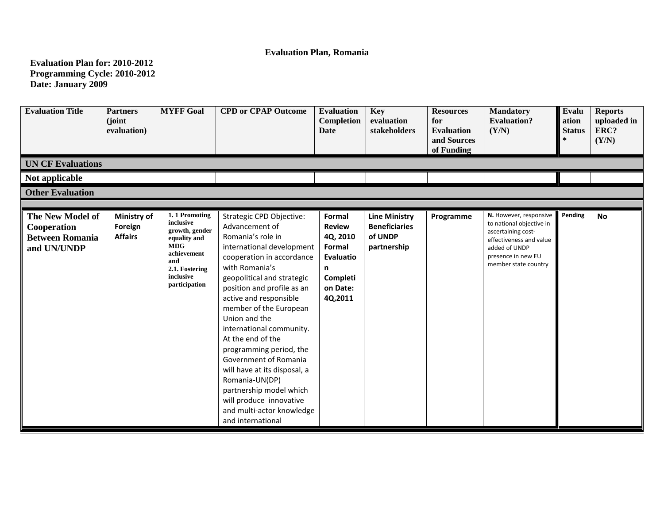## **Evaluation Plan, Romania**

**Evaluation Plan for: 2010-2012 Programming Cycle: 2010-2012 Date: January 2009**

| <b>Evaluation Title</b><br><b>UN CF Evaluations</b>                      | <b>Partners</b><br>(joint)<br>evaluation) | <b>MYFF Goal</b>                                                                                                                                 | <b>CPD or CPAP Outcome</b>                                                                                                                                                                                                                                                                                                                                                                                                                                                                                                                  | <b>Evaluation</b><br>Completion<br>Date                                                            | <b>Key</b><br>evaluation<br>stakeholders                               | <b>Resources</b><br>for<br><b>Evaluation</b><br>and Sources<br>of Funding | <b>Mandatory</b><br><b>Evaluation?</b><br>(Y/N)                                                                                                                    | Evalu<br>ation<br><b>Status</b> | <b>Reports</b><br>uploaded in<br>ERC?<br>(Y/N) |
|--------------------------------------------------------------------------|-------------------------------------------|--------------------------------------------------------------------------------------------------------------------------------------------------|---------------------------------------------------------------------------------------------------------------------------------------------------------------------------------------------------------------------------------------------------------------------------------------------------------------------------------------------------------------------------------------------------------------------------------------------------------------------------------------------------------------------------------------------|----------------------------------------------------------------------------------------------------|------------------------------------------------------------------------|---------------------------------------------------------------------------|--------------------------------------------------------------------------------------------------------------------------------------------------------------------|---------------------------------|------------------------------------------------|
| Not applicable                                                           |                                           |                                                                                                                                                  |                                                                                                                                                                                                                                                                                                                                                                                                                                                                                                                                             |                                                                                                    |                                                                        |                                                                           |                                                                                                                                                                    |                                 |                                                |
| <b>Other Evaluation</b>                                                  |                                           |                                                                                                                                                  |                                                                                                                                                                                                                                                                                                                                                                                                                                                                                                                                             |                                                                                                    |                                                                        |                                                                           |                                                                                                                                                                    |                                 |                                                |
|                                                                          |                                           |                                                                                                                                                  |                                                                                                                                                                                                                                                                                                                                                                                                                                                                                                                                             |                                                                                                    |                                                                        |                                                                           |                                                                                                                                                                    |                                 |                                                |
| The New Model of<br>Cooperation<br><b>Between Romania</b><br>and UN/UNDP | Ministry of<br>Foreign<br><b>Affairs</b>  | 1.1 Promoting<br>inclusive<br>growth, gender<br>equality and<br><b>MDG</b><br>achievement<br>and<br>2.1. Fostering<br>inclusive<br>participation | Strategic CPD Objective:<br>Advancement of<br>Romania's role in<br>international development<br>cooperation in accordance<br>with Romania's<br>geopolitical and strategic<br>position and profile as an<br>active and responsible<br>member of the European<br>Union and the<br>international community.<br>At the end of the<br>programming period, the<br>Government of Romania<br>will have at its disposal, a<br>Romania-UN(DP)<br>partnership model which<br>will produce innovative<br>and multi-actor knowledge<br>and international | Formal<br><b>Review</b><br>4Q, 2010<br>Formal<br>Evaluatio<br>n<br>Completi<br>on Date:<br>4Q,2011 | <b>Line Ministry</b><br><b>Beneficiaries</b><br>of UNDP<br>partnership | Programme                                                                 | N. However, responsive<br>to national objective in<br>ascertaining cost-<br>effectiveness and value<br>added of UNDP<br>presence in new EU<br>member state country | Pending                         | <b>No</b>                                      |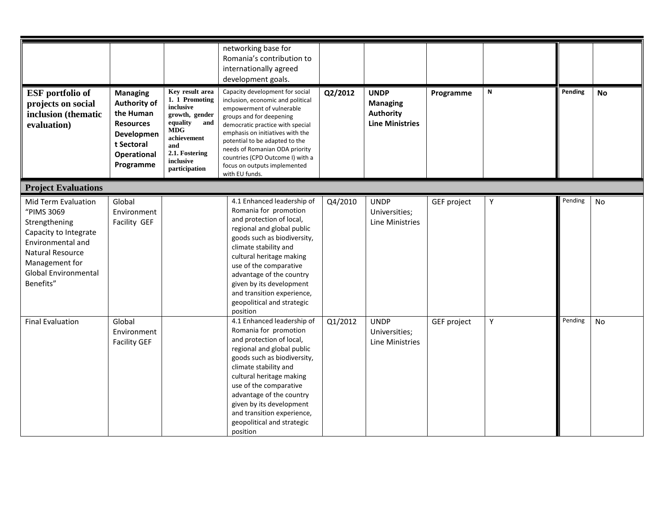| <b>ESF</b> portfolio of                                                                                                                                                     | <b>Managing</b>                                                                                              | Key result area                                                                                                                                      | networking base for<br>Romania's contribution to<br>internationally agreed<br>development goals.<br>Capacity development for social                                                                                                                                                                                                                         | Q2/2012 | <b>UNDP</b>                                                   | Programme   | ${\sf N}$ | Pending | <b>No</b> |
|-----------------------------------------------------------------------------------------------------------------------------------------------------------------------------|--------------------------------------------------------------------------------------------------------------|------------------------------------------------------------------------------------------------------------------------------------------------------|-------------------------------------------------------------------------------------------------------------------------------------------------------------------------------------------------------------------------------------------------------------------------------------------------------------------------------------------------------------|---------|---------------------------------------------------------------|-------------|-----------|---------|-----------|
| projects on social<br>inclusion (thematic<br>evaluation)                                                                                                                    | <b>Authority of</b><br>the Human<br><b>Resources</b><br>Developmen<br>t Sectoral<br>Operational<br>Programme | 1. 1 Promoting<br>inclusive<br>growth, gender<br>equality<br>and<br><b>MDG</b><br>achievement<br>and<br>2.1. Fostering<br>inclusive<br>participation | inclusion, economic and political<br>empowerment of vulnerable<br>groups and for deepening<br>democratic practice with special<br>emphasis on initiatives with the<br>potential to be adapted to the<br>needs of Romanian ODA priority<br>countries (CPD Outcome I) with a<br>focus on outputs implemented<br>with EU funds.                                |         | <b>Managing</b><br><b>Authority</b><br><b>Line Ministries</b> |             |           |         |           |
| <b>Project Evaluations</b>                                                                                                                                                  |                                                                                                              |                                                                                                                                                      |                                                                                                                                                                                                                                                                                                                                                             |         |                                                               |             |           |         |           |
| Mid Term Evaluation<br>"PIMS 3069<br>Strengthening<br>Capacity to Integrate<br>Environmental and<br>Natural Resource<br>Management for<br>Global Environmental<br>Benefits" | Global<br>Environment<br>Facility GEF                                                                        |                                                                                                                                                      | 4.1 Enhanced leadership of<br>Romania for promotion<br>and protection of local,<br>regional and global public<br>goods such as biodiversity,<br>climate stability and<br>cultural heritage making<br>use of the comparative<br>advantage of the country<br>given by its development<br>and transition experience,<br>geopolitical and strategic<br>position | Q4/2010 | <b>UNDP</b><br>Universities;<br>Line Ministries               | GEF project | Υ         | Pending | No        |
| <b>Final Evaluation</b>                                                                                                                                                     | Global<br>Environment<br><b>Facility GEF</b>                                                                 |                                                                                                                                                      | 4.1 Enhanced leadership of<br>Romania for promotion<br>and protection of local,<br>regional and global public<br>goods such as biodiversity,<br>climate stability and<br>cultural heritage making<br>use of the comparative<br>advantage of the country<br>given by its development<br>and transition experience,<br>geopolitical and strategic<br>position | Q1/2012 | <b>UNDP</b><br>Universities;<br>Line Ministries               | GEF project | Υ         | Pending | No        |